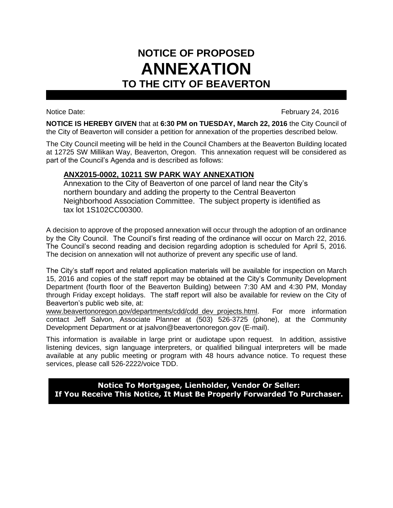## **NOTICE OF PROPOSED ANNEXATION TO THE CITY OF BEAVERTON**

Notice Date: February 24, 2016

**NOTICE IS HEREBY GIVEN** that at **6:30 PM on TUESDAY, March 22, 2016** the City Council of the City of Beaverton will consider a petition for annexation of the properties described below.

The City Council meeting will be held in the Council Chambers at the Beaverton Building located at 12725 SW Millikan Way, Beaverton, Oregon. This annexation request will be considered as part of the Council's Agenda and is described as follows:

## **ANX2015-0002, 10211 SW PARK WAY ANNEXATION**

Annexation to the City of Beaverton of one parcel of land near the City's northern boundary and adding the property to the Central Beaverton Neighborhood Association Committee. The subject property is identified as tax lot 1S102CC00300.

A decision to approve of the proposed annexation will occur through the adoption of an ordinance by the City Council. The Council's first reading of the ordinance will occur on March 22, 2016. The Council's second reading and decision regarding adoption is scheduled for April 5, 2016. The decision on annexation will not authorize of prevent any specific use of land.

The City's staff report and related application materials will be available for inspection on March 15, 2016 and copies of the staff report may be obtained at the City's Community Development Department (fourth floor of the Beaverton Building) between 7:30 AM and 4:30 PM, Monday through Friday except holidays. The staff report will also be available for review on the City of Beaverton's public web site, at:

www.beavertonoregon.gov/departments/cdd/cdd\_dev\_projects.html. For more information contact Jeff Salvon, Associate Planner at (503) 526-3725 (phone), at the Community Development Department or at jsalvon@beavertonoregon.gov (E-mail).

This information is available in large print or audiotape upon request. In addition, assistive listening devices, sign language interpreters, or qualified bilingual interpreters will be made available at any public meeting or program with 48 hours advance notice. To request these services, please call 526-2222/voice TDD.

**Notice To Mortgagee, Lienholder, Vendor Or Seller: If You Receive This Notice, It Must Be Properly Forwarded To Purchaser.**